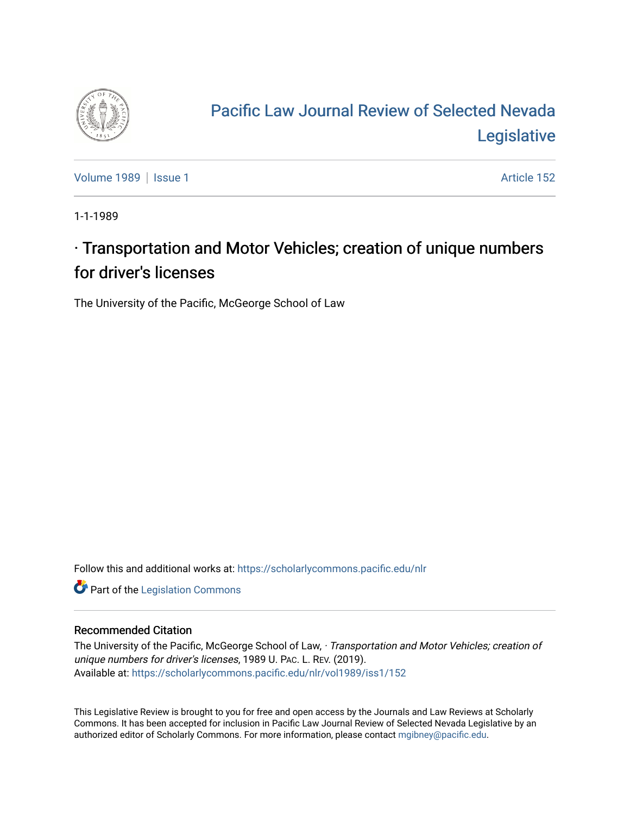

## [Pacific Law Journal Review of Selected Nevada](https://scholarlycommons.pacific.edu/nlr)  [Legislative](https://scholarlycommons.pacific.edu/nlr)

[Volume 1989](https://scholarlycommons.pacific.edu/nlr/vol1989) | [Issue 1](https://scholarlycommons.pacific.edu/nlr/vol1989/iss1) Article 152

1-1-1989

## $\cdot$  Transportation and Motor Vehicles; creation of unique numbers for driver's licenses

The University of the Pacific, McGeorge School of Law

Follow this and additional works at: [https://scholarlycommons.pacific.edu/nlr](https://scholarlycommons.pacific.edu/nlr?utm_source=scholarlycommons.pacific.edu%2Fnlr%2Fvol1989%2Fiss1%2F152&utm_medium=PDF&utm_campaign=PDFCoverPages) 

**Part of the [Legislation Commons](http://network.bepress.com/hgg/discipline/859?utm_source=scholarlycommons.pacific.edu%2Fnlr%2Fvol1989%2Fiss1%2F152&utm_medium=PDF&utm_campaign=PDFCoverPages)** 

## Recommended Citation

The University of the Pacific, McGeorge School of Law, · Transportation and Motor Vehicles; creation of unique numbers for driver's licenses, 1989 U. PAC. L. REV. (2019). Available at: [https://scholarlycommons.pacific.edu/nlr/vol1989/iss1/152](https://scholarlycommons.pacific.edu/nlr/vol1989/iss1/152?utm_source=scholarlycommons.pacific.edu%2Fnlr%2Fvol1989%2Fiss1%2F152&utm_medium=PDF&utm_campaign=PDFCoverPages) 

This Legislative Review is brought to you for free and open access by the Journals and Law Reviews at Scholarly Commons. It has been accepted for inclusion in Pacific Law Journal Review of Selected Nevada Legislative by an authorized editor of Scholarly Commons. For more information, please contact [mgibney@pacific.edu](mailto:mgibney@pacific.edu).